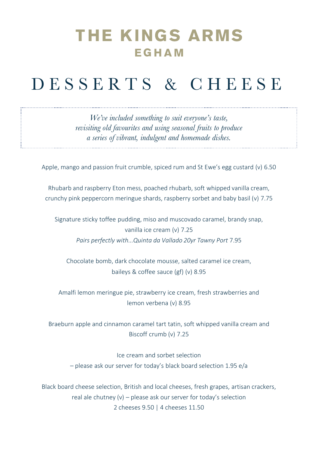### **THE KINGS ARMS** EGHAM

# D E S S E R T S & C H E E S E

*We've included something to suit everyone's taste, revisiting old favourites and using seasonal fruits to produce a series of vibrant, indulgent and homemade dishes.* 

Apple, mango and passion fruit crumble, spiced rum and St Ewe's egg custard (v) 6.50

Rhubarb and raspberry Eton mess, poached rhubarb, soft whipped vanilla cream, crunchy pink peppercorn meringue shards, raspberry sorbet and baby basil (v) 7.75

Signature sticky toffee pudding, miso and muscovado caramel, brandy snap, vanilla ice cream (v) 7.25 *Pairs perfectly with...Quinta da Vallado 20yr Tawny Port* 7.95

Chocolate bomb, dark chocolate mousse, salted caramel ice cream, baileys & coffee sauce (gf) (v) 8.95

Amalfi lemon meringue pie, strawberry ice cream, fresh strawberries and lemon verbena (v) 8.95

Braeburn apple and cinnamon caramel tart tatin, soft whipped vanilla cream and Biscoff crumb (v) 7.25

Ice cream and sorbet selection – please ask our server for today's black board selection 1.95 e/a

Black board cheese selection, British and local cheeses, fresh grapes, artisan crackers, real ale chutney (v) – please ask our server for today's selection 2 cheeses 9.50 | 4 cheeses 11.50